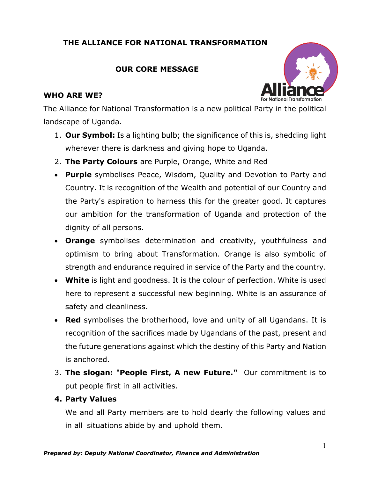## **THE ALLIANCE FOR NATIONAL TRANSFORMATION**

## **OUR CORE MESSAGE**

### **WHO ARE WE?**



The Alliance for National Transformation is a new political Party in the political landscape of Uganda.

- 1. **Our Symbol:** Is a lighting bulb; the significance of this is, shedding light wherever there is darkness and giving hope to Uganda.
- 2. **The Party Colours** are Purple, Orange, White and Red
- **Purple** symbolises Peace, Wisdom, Quality and Devotion to Party and Country. It is recognition of the Wealth and potential of our Country and the Party's aspiration to harness this for the greater good. It captures our ambition for the transformation of Uganda and protection of the dignity of all persons.
- **Orange** symbolises determination and creativity, youthfulness and optimism to bring about Transformation. Orange is also symbolic of strength and endurance required in service of the Party and the country.
- **White** is light and goodness. It is the colour of perfection. White is used here to represent a successful new beginning. White is an assurance of safety and cleanliness.
- **Red** symbolises the brotherhood, love and unity of all Ugandans. It is recognition of the sacrifices made by Ugandans of the past, present and the future generations against which the destiny of this Party and Nation is anchored.
- 3. **The slogan:** "**People First, A new Future."** Our commitment is to put people first in all activities.

## **4. Party Values**

We and all Party members are to hold dearly the following values and in all situations abide by and uphold them.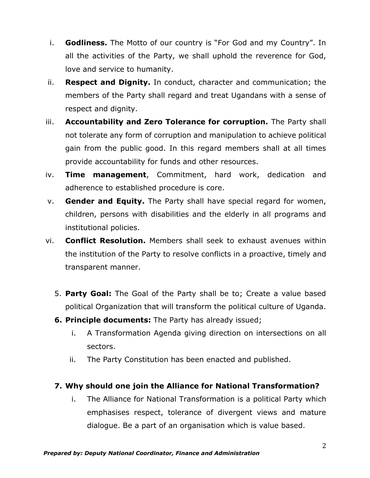- i. **Godliness.** The Motto of our country is "For God and my Country". In all the activities of the Party, we shall uphold the reverence for God, love and service to humanity.
- ii. **Respect and Dignity.** In conduct, character and communication; the members of the Party shall regard and treat Ugandans with a sense of respect and dignity.
- iii. **Accountability and Zero Tolerance for corruption.** The Party shall not tolerate any form of corruption and manipulation to achieve political gain from the public good. In this regard members shall at all times provide accountability for funds and other resources.
- iv. **Time management**, Commitment, hard work, dedication and adherence to established procedure is core.
- v. **Gender and Equity.** The Party shall have special regard for women, children, persons with disabilities and the elderly in all programs and institutional policies.
- vi. **Conflict Resolution.** Members shall seek to exhaust avenues within the institution of the Party to resolve conflicts in a proactive, timely and transparent manner.
	- 5. **Party Goal:** The Goal of the Party shall be to; Create a value based political Organization that will transform the political culture of Uganda.
	- **6. Principle documents:** The Party has already issued;
		- i. A Transformation Agenda giving direction on intersections on all sectors.
		- ii. The Party Constitution has been enacted and published.
	- **7. Why should one join the Alliance for National Transformation?**
		- i. The Alliance for National Transformation is a political Party which emphasises respect, tolerance of divergent views and mature dialogue. Be a part of an organisation which is value based.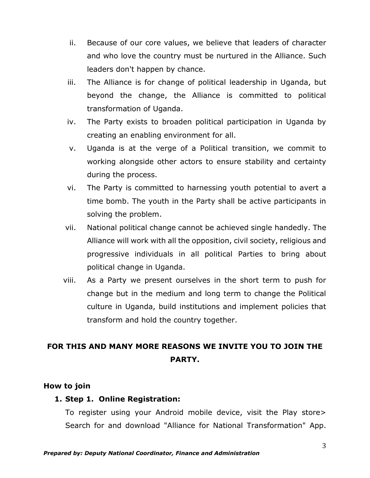- ii. Because of our core values, we believe that leaders of character and who love the country must be nurtured in the Alliance. Such leaders don't happen by chance.
- iii. The Alliance is for change of political leadership in Uganda, but beyond the change, the Alliance is committed to political transformation of Uganda.
- iv. The Party exists to broaden political participation in Uganda by creating an enabling environment for all.
- v. Uganda is at the verge of a Political transition, we commit to working alongside other actors to ensure stability and certainty during the process.
- vi. The Party is committed to harnessing youth potential to avert a time bomb. The youth in the Party shall be active participants in solving the problem.
- vii. National political change cannot be achieved single handedly. The Alliance will work with all the opposition, civil society, religious and progressive individuals in all political Parties to bring about political change in Uganda.
- viii. As a Party we present ourselves in the short term to push for change but in the medium and long term to change the Political culture in Uganda, build institutions and implement policies that transform and hold the country together.

# **FOR THIS AND MANY MORE REASONS WE INVITE YOU TO JOIN THE PARTY.**

#### **How to join**

## **1. Step 1. Online Registration:**

To register using your Android mobile device, visit the Play store> Search for and download "Alliance for National Transformation" App.